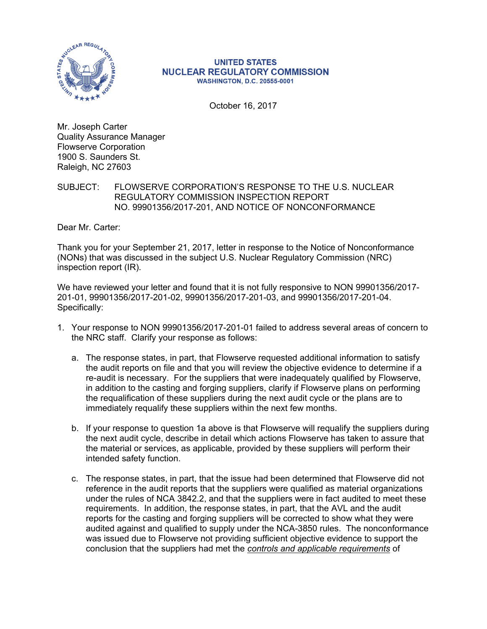

## **UNITED STATES NUCLEAR REGULATORY COMMISSION WASHINGTON, D.C. 20555-0001**

October 16, 2017

Mr. Joseph Carter Quality Assurance Manager Flowserve Corporation 1900 S. Saunders St. Raleigh, NC 27603

## SUBJECT: FLOWSERVE CORPORATION'S RESPONSE TO THE U.S. NUCLEAR REGULATORY COMMISSION INSPECTION REPORT NO. 99901356/2017-201, AND NOTICE OF NONCONFORMANCE

Dear Mr. Carter:

Thank you for your September 21, 2017, letter in response to the Notice of Nonconformance (NONs) that was discussed in the subject U.S. Nuclear Regulatory Commission (NRC) inspection report (IR).

We have reviewed your letter and found that it is not fully responsive to NON 99901356/2017- 201-01, 99901356/2017-201-02, 99901356/2017-201-03, and 99901356/2017-201-04. Specifically:

- 1. Your response to NON 99901356/2017-201-01 failed to address several areas of concern to the NRC staff. Clarify your response as follows:
	- a. The response states, in part, that Flowserve requested additional information to satisfy the audit reports on file and that you will review the objective evidence to determine if a re-audit is necessary. For the suppliers that were inadequately qualified by Flowserve, in addition to the casting and forging suppliers, clarify if Flowserve plans on performing the requalification of these suppliers during the next audit cycle or the plans are to immediately requalify these suppliers within the next few months.
	- b. If your response to question 1a above is that Flowserve will requalify the suppliers during the next audit cycle, describe in detail which actions Flowserve has taken to assure that the material or services, as applicable, provided by these suppliers will perform their intended safety function.
	- c. The response states, in part, that the issue had been determined that Flowserve did not reference in the audit reports that the suppliers were qualified as material organizations under the rules of NCA 3842.2, and that the suppliers were in fact audited to meet these requirements. In addition, the response states, in part, that the AVL and the audit reports for the casting and forging suppliers will be corrected to show what they were audited against and qualified to supply under the NCA-3850 rules. The nonconformance was issued due to Flowserve not providing sufficient objective evidence to support the conclusion that the suppliers had met the *controls and applicable requirements* of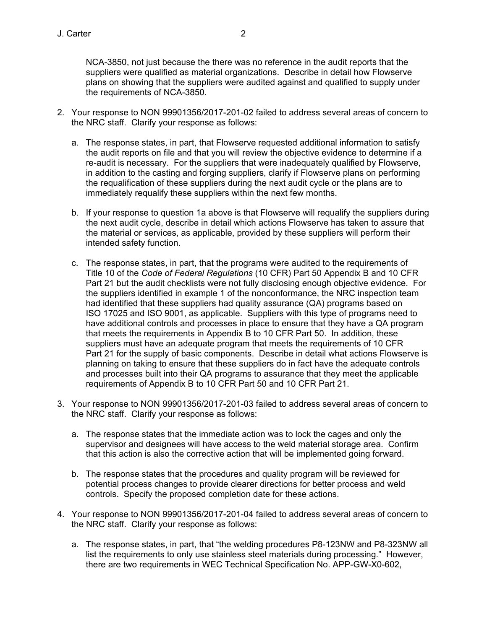NCA-3850, not just because the there was no reference in the audit reports that the suppliers were qualified as material organizations. Describe in detail how Flowserve plans on showing that the suppliers were audited against and qualified to supply under the requirements of NCA-3850.

- 2. Your response to NON 99901356/2017-201-02 failed to address several areas of concern to the NRC staff. Clarify your response as follows:
	- a. The response states, in part, that Flowserve requested additional information to satisfy the audit reports on file and that you will review the objective evidence to determine if a re-audit is necessary. For the suppliers that were inadequately qualified by Flowserve, in addition to the casting and forging suppliers, clarify if Flowserve plans on performing the requalification of these suppliers during the next audit cycle or the plans are to immediately requalify these suppliers within the next few months.
	- b. If your response to question 1a above is that Flowserve will requalify the suppliers during the next audit cycle, describe in detail which actions Flowserve has taken to assure that the material or services, as applicable, provided by these suppliers will perform their intended safety function.
	- c. The response states, in part, that the programs were audited to the requirements of Title 10 of the *Code of Federal Regulations* (10 CFR) Part 50 Appendix B and 10 CFR Part 21 but the audit checklists were not fully disclosing enough objective evidence. For the suppliers identified in example 1 of the nonconformance, the NRC inspection team had identified that these suppliers had quality assurance (QA) programs based on ISO 17025 and ISO 9001, as applicable. Suppliers with this type of programs need to have additional controls and processes in place to ensure that they have a QA program that meets the requirements in Appendix B to 10 CFR Part 50. In addition, these suppliers must have an adequate program that meets the requirements of 10 CFR Part 21 for the supply of basic components. Describe in detail what actions Flowserve is planning on taking to ensure that these suppliers do in fact have the adequate controls and processes built into their QA programs to assurance that they meet the applicable requirements of Appendix B to 10 CFR Part 50 and 10 CFR Part 21.
- 3. Your response to NON 99901356/2017-201-03 failed to address several areas of concern to the NRC staff. Clarify your response as follows:
	- a. The response states that the immediate action was to lock the cages and only the supervisor and designees will have access to the weld material storage area. Confirm that this action is also the corrective action that will be implemented going forward.
	- b. The response states that the procedures and quality program will be reviewed for potential process changes to provide clearer directions for better process and weld controls. Specify the proposed completion date for these actions.
- 4. Your response to NON 99901356/2017-201-04 failed to address several areas of concern to the NRC staff. Clarify your response as follows:
	- a. The response states, in part, that "the welding procedures P8-123NW and P8-323NW all list the requirements to only use stainless steel materials during processing." However, there are two requirements in WEC Technical Specification No. APP-GW-X0-602,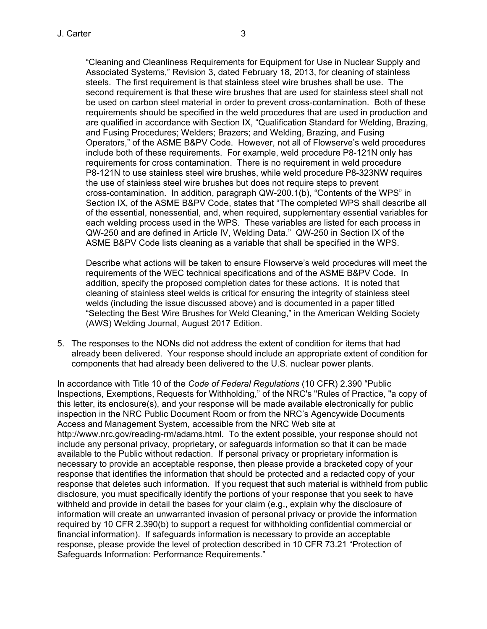"Cleaning and Cleanliness Requirements for Equipment for Use in Nuclear Supply and Associated Systems," Revision 3, dated February 18, 2013, for cleaning of stainless steels. The first requirement is that stainless steel wire brushes shall be use. The second requirement is that these wire brushes that are used for stainless steel shall not be used on carbon steel material in order to prevent cross-contamination. Both of these requirements should be specified in the weld procedures that are used in production and are qualified in accordance with Section IX, "Qualification Standard for Welding, Brazing, and Fusing Procedures; Welders; Brazers; and Welding, Brazing, and Fusing Operators," of the ASME B&PV Code. However, not all of Flowserve's weld procedures include both of these requirements. For example, weld procedure P8-121N only has requirements for cross contamination. There is no requirement in weld procedure P8-121N to use stainless steel wire brushes, while weld procedure P8-323NW requires the use of stainless steel wire brushes but does not require steps to prevent cross-contamination. In addition, paragraph QW-200.1(b), "Contents of the WPS" in Section IX, of the ASME B&PV Code, states that "The completed WPS shall describe all of the essential, nonessential, and, when required, supplementary essential variables for each welding process used in the WPS. These variables are listed for each process in QW-250 and are defined in Article IV, Welding Data." QW-250 in Section IX of the ASME B&PV Code lists cleaning as a variable that shall be specified in the WPS.

Describe what actions will be taken to ensure Flowserve's weld procedures will meet the requirements of the WEC technical specifications and of the ASME B&PV Code. In addition, specify the proposed completion dates for these actions. It is noted that cleaning of stainless steel welds is critical for ensuring the integrity of stainless steel welds (including the issue discussed above) and is documented in a paper titled "Selecting the Best Wire Brushes for Weld Cleaning," in the American Welding Society (AWS) Welding Journal, August 2017 Edition.

5. The responses to the NONs did not address the extent of condition for items that had already been delivered. Your response should include an appropriate extent of condition for components that had already been delivered to the U.S. nuclear power plants.

In accordance with Title 10 of the *Code of Federal Regulations* (10 CFR) 2.390 "Public Inspections, Exemptions, Requests for Withholding," of the NRC's "Rules of Practice, "a copy of this letter, its enclosure(s), and your response will be made available electronically for public inspection in the NRC Public Document Room or from the NRC's Agencywide Documents Access and Management System, accessible from the NRC Web site at http://www.nrc.gov/reading-rm/adams.html. To the extent possible, your response should not include any personal privacy, proprietary, or safeguards information so that it can be made available to the Public without redaction. If personal privacy or proprietary information is necessary to provide an acceptable response, then please provide a bracketed copy of your response that identifies the information that should be protected and a redacted copy of your response that deletes such information. If you request that such material is withheld from public disclosure, you must specifically identify the portions of your response that you seek to have withheld and provide in detail the bases for your claim (e.g., explain why the disclosure of information will create an unwarranted invasion of personal privacy or provide the information required by 10 CFR 2.390(b) to support a request for withholding confidential commercial or financial information). If safeguards information is necessary to provide an acceptable response, please provide the level of protection described in 10 CFR 73.21 "Protection of Safeguards Information: Performance Requirements."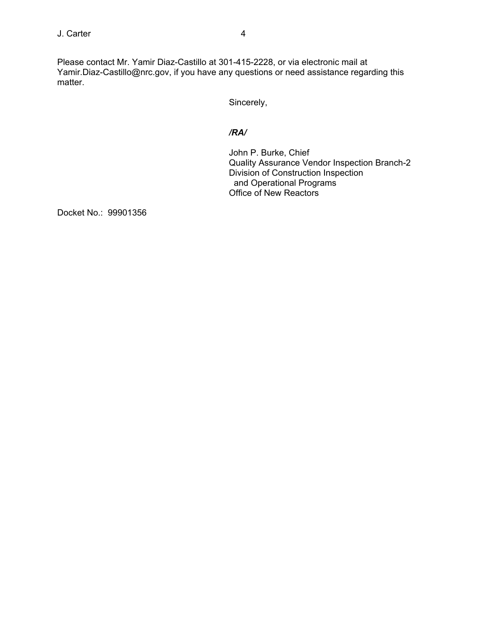Please contact Mr. Yamir Diaz-Castillo at 301-415-2228, or via electronic mail at Yamir.Diaz-Castillo@nrc.gov, if you have any questions or need assistance regarding this matter.

Sincerely,

## */RA/*

John P. Burke, Chief Quality Assurance Vendor Inspection Branch-2 Division of Construction Inspection and Operational Programs Office of New Reactors

Docket No.: 99901356